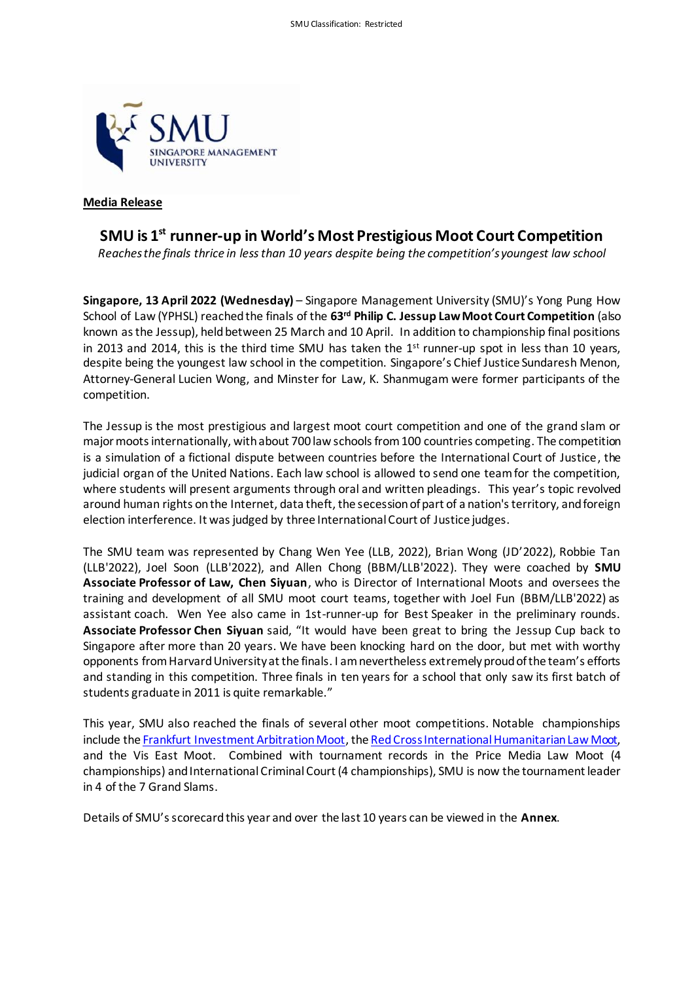

## **Media Release**

## **SMU is 1st runner-up in World's Most Prestigious Moot Court Competition**

*Reaches the finals thrice in less than 10 years despite being the competition's youngest law school* 

**Singapore, 13 April 2022 (Wednesday)** – Singapore Management University (SMU)'s Yong Pung How School of Law (YPHSL) reached the finals of the **63rd Philip C. Jessup Law Moot Court Competition** (also known as the Jessup), held between 25 March and 10 April. In addition to championship final positions in 2013 and 2014, this is the third time SMU has taken the  $1<sup>st</sup>$  runner-up spot in less than 10 years, despite being the youngest law school in the competition. Singapore's Chief Justice Sundaresh Menon, Attorney-General Lucien Wong, and Minster for Law, K. Shanmugam were former participants of the competition.

The Jessup is the most prestigious and largest moot court competition and one of the grand slam or major moots internationally, with about 700 law schools from 100 countries competing. The competition is a simulation of a fictional dispute between countries before the International Court of Justice, the judicial organ of the United Nations. Each law school is allowed to send one team for the competition, where students will present arguments through oral and written pleadings. This year's topic revolved around human rights on the Internet, data theft, the secession of part of a nation's territory, and foreign election interference. It was judged by three International Court of Justice judges.

The SMU team was represented by Chang Wen Yee (LLB, 2022), Brian Wong (JD'2022), Robbie Tan (LLB'2022), Joel Soon (LLB'2022), and Allen Chong (BBM/LLB'2022). They were coached by **SMU Associate Professor of Law, Chen Siyuan**, who is Director of International Moots and oversees the training and development of all SMU moot court teams, together with Joel Fun (BBM/LLB'2022) as assistant coach. Wen Yee also came in 1st-runner-up for Best Speaker in the preliminary rounds. **Associate Professor Chen Siyuan** said, "It would have been great to bring the Jessup Cup back to Singapore after more than 20 years. We have been knocking hard on the door, but met with worthy opponents from Harvard University at the finals. I am nevertheless extremely proud of the team's efforts and standing in this competition. Three finals in ten years for a school that only saw its first batch of students graduate in 2011 is quite remarkable."

This year, SMU also reached the finals of several other moot competitions. Notable championships include th[e Frankfurt Investment Arbitration Moot](https://news.smu.edu.sg/news/2022/03/11/smu-2nd-time-champion-prestigious-frankfurt-investment-arbitration-moot-five-years), th[e Red Cross International Humanitarian Law Moot,](https://news.smu.edu.sg/news/2022/03/24/smu-team-wins-20th-red-cross-international-humanitarian-law-moot-0) and the Vis East Moot. Combined with tournament records in the Price Media Law Moot (4 championships) and International Criminal Court (4 championships), SMU is now the tournament leader in 4 of the 7 Grand Slams.

Details of SMU's scorecard this year and over the last 10 years can be viewed in the **Annex**.